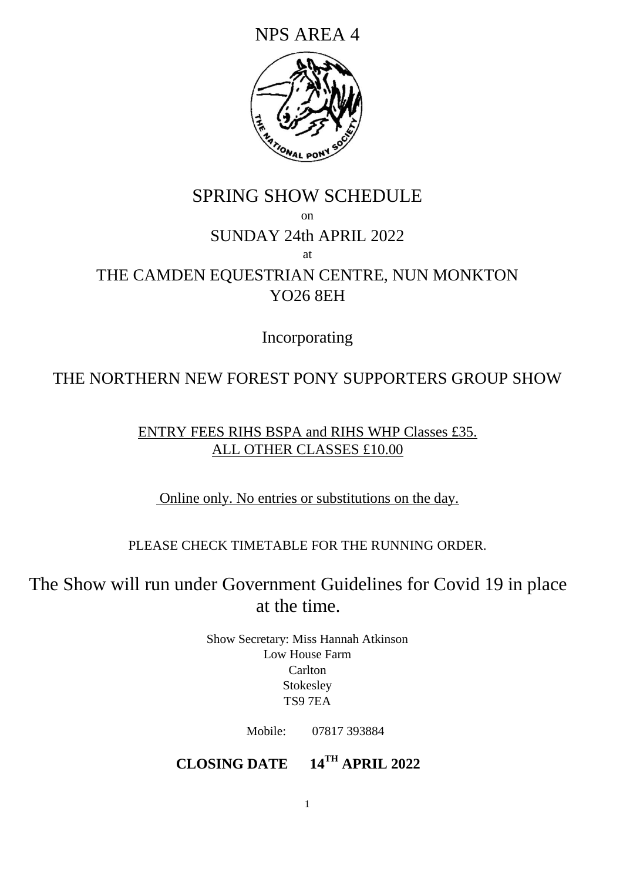NPS AREA 4



# SPRING SHOW SCHEDULE on SUNDAY 24th APRIL 2022 at THE CAMDEN EQUESTRIAN CENTRE, NUN MONKTON YO26 8EH

Incorporating

# THE NORTHERN NEW FOREST PONY SUPPORTERS GROUP SHOW

ENTRY FEES RIHS BSPA and RIHS WHP Classes £35. ALL OTHER CLASSES £10.00

Online only. No entries or substitutions on the day.

PLEASE CHECK TIMETABLE FOR THE RUNNING ORDER.

The Show will run under Government Guidelines for Covid 19 in place at the time.

> Show Secretary: Miss Hannah Atkinson Low House Farm Carlton Stokesley TS9 7EA

> > Mobile: 07817 393884

**CLOSING DATE 14TH APRIL 2022**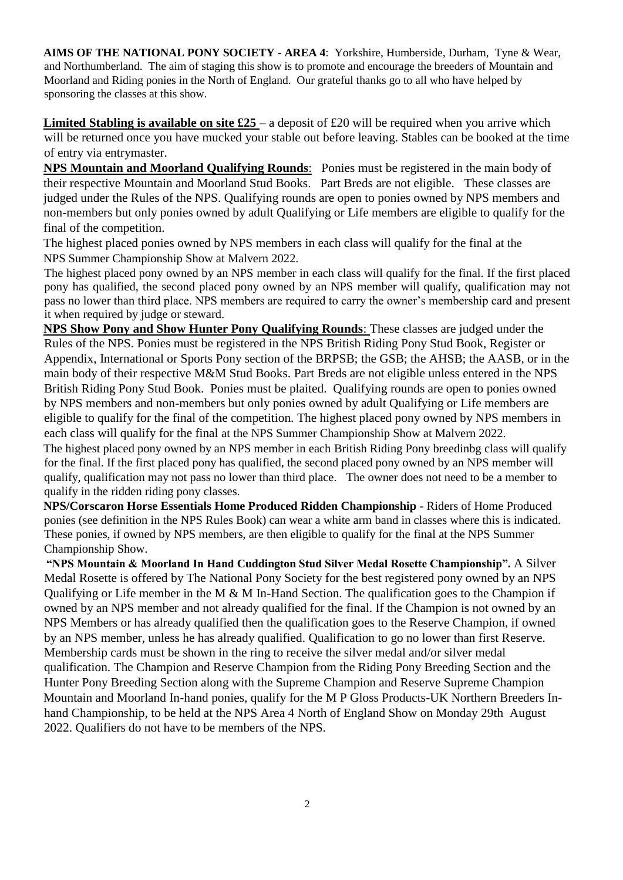**AIMS OF THE NATIONAL PONY SOCIETY - AREA 4**: Yorkshire, Humberside, Durham, Tyne & Wear, and Northumberland. The aim of staging this show is to promote and encourage the breeders of Mountain and Moorland and Riding ponies in the North of England. Our grateful thanks go to all who have helped by sponsoring the classes at this show.

**Limited Stabling is available on site £25** – a deposit of £20 will be required when you arrive which will be returned once you have mucked your stable out before leaving. Stables can be booked at the time of entry via entrymaster.

**NPS Mountain and Moorland Qualifying Rounds**: Ponies must be registered in the main body of their respective Mountain and Moorland Stud Books. Part Breds are not eligible. These classes are judged under the Rules of the NPS. Qualifying rounds are open to ponies owned by NPS members and non-members but only ponies owned by adult Qualifying or Life members are eligible to qualify for the final of the competition.

The highest placed ponies owned by NPS members in each class will qualify for the final at the NPS Summer Championship Show at Malvern 2022.

The highest placed pony owned by an NPS member in each class will qualify for the final. If the first placed pony has qualified, the second placed pony owned by an NPS member will qualify, qualification may not pass no lower than third place. NPS members are required to carry the owner's membership card and present it when required by judge or steward.

**NPS Show Pony and Show Hunter Pony Qualifying Rounds**: These classes are judged under the Rules of the NPS. Ponies must be registered in the NPS British Riding Pony Stud Book, Register or Appendix, International or Sports Pony section of the BRPSB; the GSB; the AHSB; the AASB, or in the main body of their respective M&M Stud Books. Part Breds are not eligible unless entered in the NPS British Riding Pony Stud Book. Ponies must be plaited. Qualifying rounds are open to ponies owned by NPS members and non-members but only ponies owned by adult Qualifying or Life members are eligible to qualify for the final of the competition. The highest placed pony owned by NPS members in each class will qualify for the final at the NPS Summer Championship Show at Malvern 2022.

The highest placed pony owned by an NPS member in each British Riding Pony breedinbg class will qualify for the final. If the first placed pony has qualified, the second placed pony owned by an NPS member will qualify, qualification may not pass no lower than third place. The owner does not need to be a member to qualify in the ridden riding pony classes.

**NPS/Corscaron Horse Essentials Home Produced Ridden Championship** - Riders of Home Produced ponies (see definition in the NPS Rules Book) can wear a white arm band in classes where this is indicated. These ponies, if owned by NPS members, are then eligible to qualify for the final at the NPS Summer Championship Show.

**"NPS Mountain & Moorland In Hand Cuddington Stud Silver Medal Rosette Championship".** A Silver Medal Rosette is offered by The National Pony Society for the best registered pony owned by an NPS Qualifying or Life member in the M & M In-Hand Section. The qualification goes to the Champion if owned by an NPS member and not already qualified for the final. If the Champion is not owned by an NPS Members or has already qualified then the qualification goes to the Reserve Champion, if owned by an NPS member, unless he has already qualified. Qualification to go no lower than first Reserve. Membership cards must be shown in the ring to receive the silver medal and/or silver medal qualification. The Champion and Reserve Champion from the Riding Pony Breeding Section and the Hunter Pony Breeding Section along with the Supreme Champion and Reserve Supreme Champion Mountain and Moorland In-hand ponies, qualify for the M P Gloss Products-UK Northern Breeders Inhand Championship, to be held at the NPS Area 4 North of England Show on Monday 29th August 2022. Qualifiers do not have to be members of the NPS.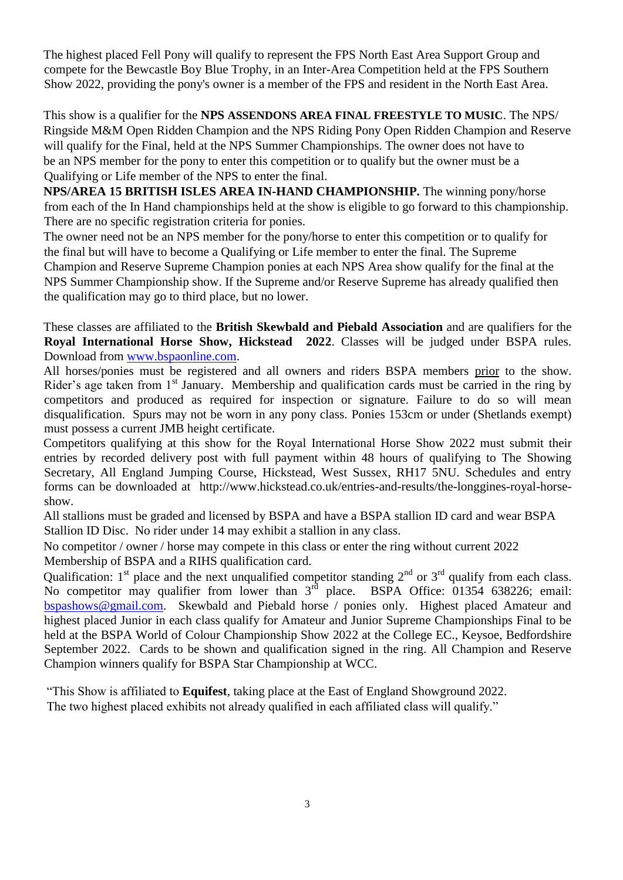The highest placed Fell Pony will qualify to represent the FPS North East Area Support Group and compete for the Bewcastle Boy Blue Trophy, in an Inter-Area Competition held at the FPS Southern Show 2022, providing the pony's owner is a member of the FPS and resident in the North East Area.

This show is a qualifier for the **NPS ASSENDONS AREA FINAL FREESTYLE TO MUSIC**. The NPS/ Ringside M&M Open Ridden Champion and the NPS Riding Pony Open Ridden Champion and Reserve will qualify for the Final, held at the NPS Summer Championships. The owner does not have to be an NPS member for the pony to enter this competition or to qualify but the owner must be a Qualifying or Life member of the NPS to enter the final.

**NPS/AREA 15 BRITISH ISLES AREA IN-HAND CHAMPIONSHIP.** The winning pony/horse from each of the In Hand championships held at the show is eligible to go forward to this championship. There are no specific registration criteria for ponies.

The owner need not be an NPS member for the pony/horse to enter this competition or to qualify for the final but will have to become a Qualifying or Life member to enter the final. The Supreme Champion and Reserve Supreme Champion ponies at each NPS Area show qualify for the final at the NPS Summer Championship show. If the Supreme and/or Reserve Supreme has already qualified then the qualification may go to third place, but no lower.

These classes are affiliated to the **British Skewbald and Piebald Association** and are qualifiers for the **Royal International Horse Show, Hickstead 2022**. Classes will be judged under BSPA rules. Download from www.bspaonline.com.

All horses/ponies must be registered and all owners and riders BSPA members prior to the show. Rider's age taken from 1<sup>st</sup> January. Membership and qualification cards must be carried in the ring by competitors and produced as required for inspection or signature. Failure to do so will mean disqualification. Spurs may not be worn in any pony class. Ponies 153cm or under (Shetlands exempt) must possess a current JMB height certificate.

Competitors qualifying at this show for the Royal International Horse Show 2022 must submit their entries by recorded delivery post with full payment within 48 hours of qualifying to The Showing Secretary, All England Jumping Course, Hickstead, West Sussex, RH17 5NU. Schedules and entry forms can be downloaded at http://www.hickstead.co.uk/entries-and-results/the-longgines-royal-horseshow.

All stallions must be graded and licensed by BSPA and have a BSPA stallion ID card and wear BSPA Stallion ID Disc. No rider under 14 may exhibit a stallion in any class.

No competitor / owner / horse may compete in this class or enter the ring without current 2022 Membership of BSPA and a RIHS qualification card.

Qualification:  $1<sup>st</sup>$  place and the next unqualified competitor standing  $2<sup>nd</sup>$  or  $3<sup>rd</sup>$  qualify from each class. No competitor may qualifier from lower than 3<sup>rd</sup> place. BSPA Office: 01354 638226; email: bspashows@gmail.com. Skewbald and Piebald horse / ponies only. Highest placed Amateur and highest placed Junior in each class qualify for Amateur and Junior Supreme Championships Final to be held at the BSPA World of Colour Championship Show 2022 at the College EC., Keysoe, Bedfordshire September 2022. Cards to be shown and qualification signed in the ring. All Champion and Reserve Champion winners qualify for BSPA Star Championship at WCC.

"This Show is affiliated to **Equifest**, taking place at the East of England Showground 2022. The two highest placed exhibits not already qualified in each affiliated class will qualify."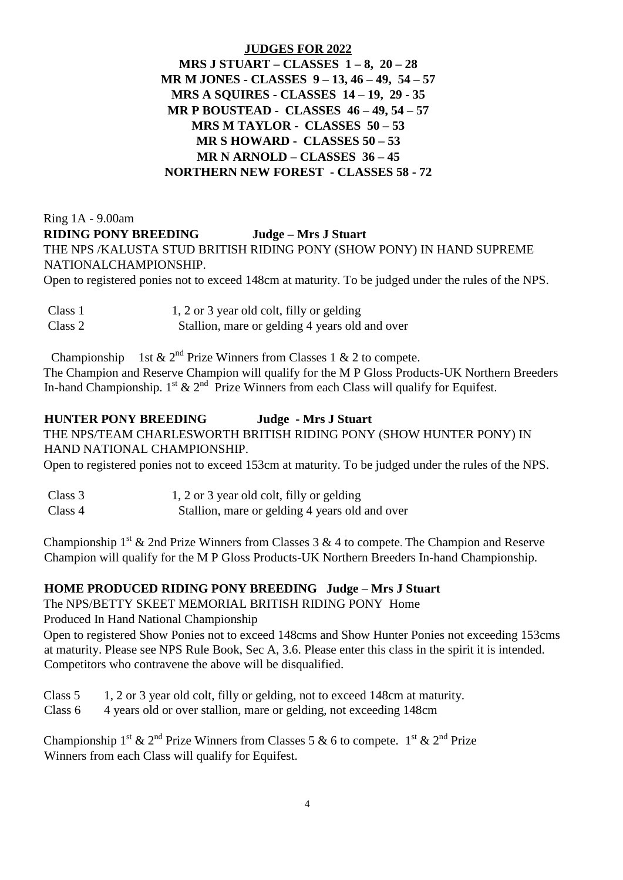#### **JUDGES FOR 2022**

**MRS J STUART – CLASSES 1 – 8, 20 – 28 MR M JONES - CLASSES 9 – 13, 46 – 49, 54 – 57 MRS A SQUIRES - CLASSES 14 – 19, 29 - 35 MR P BOUSTEAD - CLASSES 46 – 49, 54 – 57 MRS M TAYLOR - CLASSES 50 – 53 MR S HOWARD - CLASSES 50 – 53 MR N ARNOLD – CLASSES 36 – 45 NORTHERN NEW FOREST - CLASSES 58 - 72**

Ring 1A - 9.00am **RIDING PONY BREEDING Judge – Mrs J Stuart** THE NPS /KALUSTA STUD BRITISH RIDING PONY (SHOW PONY) IN HAND SUPREME NATIONALCHAMPIONSHIP.

Open to registered ponies not to exceed 148cm at maturity. To be judged under the rules of the NPS.

| Class 1 | 1, 2 or 3 year old colt, filly or gelding      |
|---------|------------------------------------------------|
| Class 2 | Stallion, mare or gelding 4 years old and over |

Championship 1st  $\& 2^{nd}$  Prize Winners from Classes 1  $\& 2$  to compete. The Champion and Reserve Champion will qualify for the M P Gloss Products-UK Northern Breeders In-hand Championship.  $1^{st}$  &  $2^{nd}$  Prize Winners from each Class will qualify for Equifest.

#### **HUNTER PONY BREEDING Judge - Mrs J Stuart**

THE NPS/TEAM CHARLESWORTH BRITISH RIDING PONY (SHOW HUNTER PONY) IN HAND NATIONAL CHAMPIONSHIP.

Open to registered ponies not to exceed 153cm at maturity. To be judged under the rules of the NPS.

| Class 3 | 1, 2 or 3 year old colt, filly or gelding      |
|---------|------------------------------------------------|
| Class 4 | Stallion, mare or gelding 4 years old and over |

Championship  $1^{st}$  & 2nd Prize Winners from Classes 3 & 4 to compete. The Champion and Reserve Champion will qualify for the M P Gloss Products-UK Northern Breeders In-hand Championship.

#### **HOME PRODUCED RIDING PONY BREEDING Judge – Mrs J Stuart**

The NPS/BETTY SKEET MEMORIAL BRITISH RIDING PONY Home

Produced In Hand National Championship

Open to registered Show Ponies not to exceed 148cms and Show Hunter Ponies not exceeding 153cms at maturity. Please see NPS Rule Book, Sec A, 3.6. Please enter this class in the spirit it is intended. Competitors who contravene the above will be disqualified.

Class 5 1, 2 or 3 year old colt, filly or gelding, not to exceed 148cm at maturity.

Class 6 4 years old or over stallion, mare or gelding, not exceeding 148cm

Championship 1<sup>st</sup> & 2<sup>nd</sup> Prize Winners from Classes 5 & 6 to compete. 1<sup>st</sup> & 2<sup>nd</sup> Prize Winners from each Class will qualify for Equifest.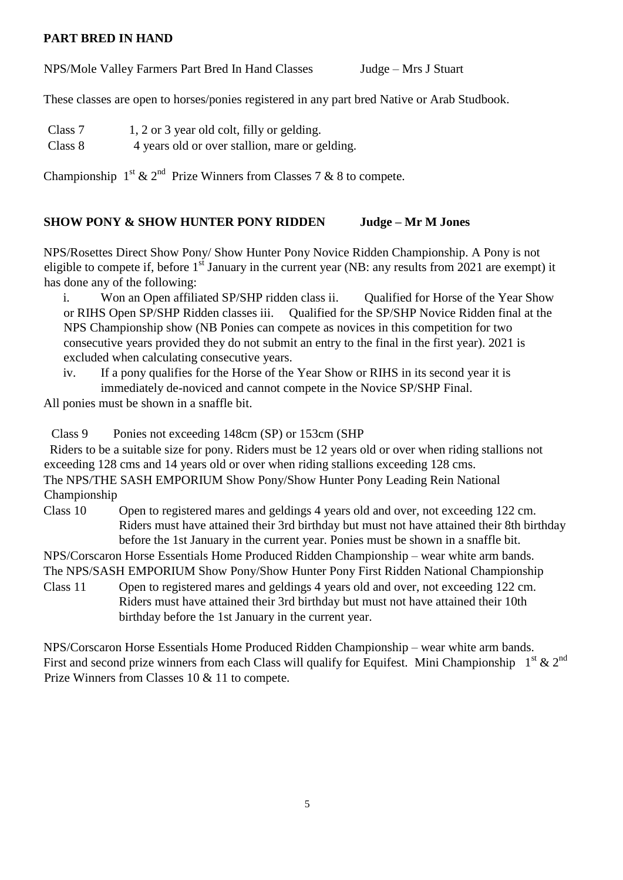#### **PART BRED IN HAND**

NPS/Mole Valley Farmers Part Bred In Hand Classes Judge – Mrs J Stuart

These classes are open to horses/ponies registered in any part bred Native or Arab Studbook.

- Class 7 1, 2 or 3 year old colt, filly or gelding.
- Class 8 4 years old or over stallion, mare or gelding.

Championship  $1^{st}$  &  $2^{nd}$  Prize Winners from Classes 7 & 8 to compete.

#### **SHOW PONY & SHOW HUNTER PONY RIDDEN Judge – Mr M Jones**

NPS/Rosettes Direct Show Pony/ Show Hunter Pony Novice Ridden Championship. A Pony is not eligible to compete if, before  $1<sup>st</sup>$  January in the current year (NB: any results from 2021 are exempt) it has done any of the following:

i. Won an Open affiliated SP/SHP ridden class ii. Qualified for Horse of the Year Show or RIHS Open SP/SHP Ridden classes iii. Qualified for the SP/SHP Novice Ridden final at the NPS Championship show (NB Ponies can compete as novices in this competition for two consecutive years provided they do not submit an entry to the final in the first year). 2021 is excluded when calculating consecutive years.

iv. If a pony qualifies for the Horse of the Year Show or RIHS in its second year it is immediately de-noviced and cannot compete in the Novice SP/SHP Final.

All ponies must be shown in a snaffle bit.

Class 9 Ponies not exceeding 148cm (SP) or 153cm (SHP

 Riders to be a suitable size for pony. Riders must be 12 years old or over when riding stallions not exceeding 128 cms and 14 years old or over when riding stallions exceeding 128 cms. The NPS/THE SASH EMPORIUM Show Pony/Show Hunter Pony Leading Rein National Championship

Class 10 Open to registered mares and geldings 4 years old and over, not exceeding 122 cm. Riders must have attained their 3rd birthday but must not have attained their 8th birthday before the 1st January in the current year. Ponies must be shown in a snaffle bit.

NPS/Corscaron Horse Essentials Home Produced Ridden Championship – wear white arm bands.

The NPS/SASH EMPORIUM Show Pony/Show Hunter Pony First Ridden National Championship Class 11 Open to registered mares and geldings 4 years old and over, not exceeding 122 cm. Riders must have attained their 3rd birthday but must not have attained their 10th

birthday before the 1st January in the current year.

NPS/Corscaron Horse Essentials Home Produced Ridden Championship – wear white arm bands. First and second prize winners from each Class will qualify for Equifest. Mini Championship  $1^{st} \& 2^{nd}$ Prize Winners from Classes 10 & 11 to compete.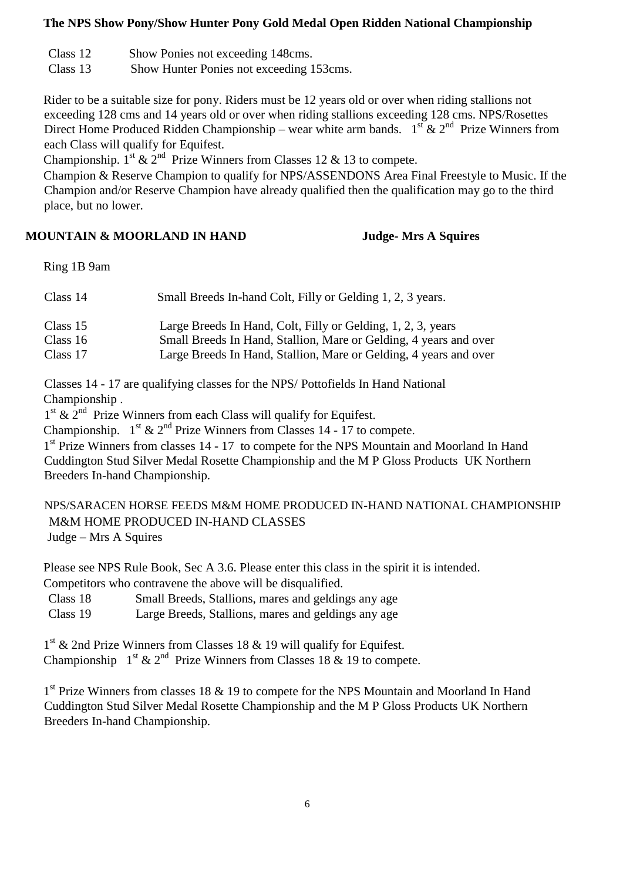#### **The NPS Show Pony/Show Hunter Pony Gold Medal Open Ridden National Championship**

- Class 12 Show Ponies not exceeding 148cms.
- Class 13 Show Hunter Ponies not exceeding 153cms.

Rider to be a suitable size for pony. Riders must be 12 years old or over when riding stallions not exceeding 128 cms and 14 years old or over when riding stallions exceeding 128 cms. NPS/Rosettes Direct Home Produced Ridden Championship – wear white arm bands.  $1^{st} \& 2^{nd}$  Prize Winners from each Class will qualify for Equifest.

Championship.  $1^{st}$  &  $2^{nd}$  Prize Winners from Classes 12 & 13 to compete.

Champion & Reserve Champion to qualify for NPS/ASSENDONS Area Final Freestyle to Music. If the Champion and/or Reserve Champion have already qualified then the qualification may go to the third place, but no lower.

#### **MOUNTAIN & MOORLAND IN HAND Judge- Mrs A Squires**

Ring 1B 9am

| Class 14   | Small Breeds In-hand Colt, Filly or Gelding 1, 2, 3 years.        |
|------------|-------------------------------------------------------------------|
| Class $15$ | Large Breeds In Hand, Colt, Filly or Gelding, 1, 2, 3, years      |
| Class 16   | Small Breeds In Hand, Stallion, Mare or Gelding, 4 years and over |
| Class 17   | Large Breeds In Hand, Stallion, Mare or Gelding, 4 years and over |

 Classes 14 - 17 are qualifying classes for the NPS/ Pottofields In Hand National Championship .

1<sup>st</sup> & 2<sup>nd</sup> Prize Winners from each Class will qualify for Equifest.

Championship.  $1^{st}$  &  $2^{nd}$  Prize Winners from Classes 14 - 17 to compete.

1<sup>st</sup> Prize Winners from classes 14 - 17 to compete for the NPS Mountain and Moorland In Hand Cuddington Stud Silver Medal Rosette Championship and the M P Gloss Products UK Northern Breeders In-hand Championship.

NPS/SARACEN HORSE FEEDS M&M HOME PRODUCED IN-HAND NATIONAL CHAMPIONSHIP M&M HOME PRODUCED IN-HAND CLASSES Judge – Mrs A Squires

Please see NPS Rule Book, Sec A 3.6. Please enter this class in the spirit it is intended. Competitors who contravene the above will be disqualified.

Class 18 Small Breeds, Stallions, mares and geldings any age Class 19 Large Breeds, Stallions, mares and geldings any age

1<sup>st</sup> & 2nd Prize Winners from Classes 18 & 19 will qualify for Equifest.

Championship  $1<sup>st</sup> \& 2<sup>nd</sup>$  Prize Winners from Classes 18 & 19 to compete.

1<sup>st</sup> Prize Winners from classes 18 & 19 to compete for the NPS Mountain and Moorland In Hand Cuddington Stud Silver Medal Rosette Championship and the M P Gloss Products UK Northern Breeders In-hand Championship.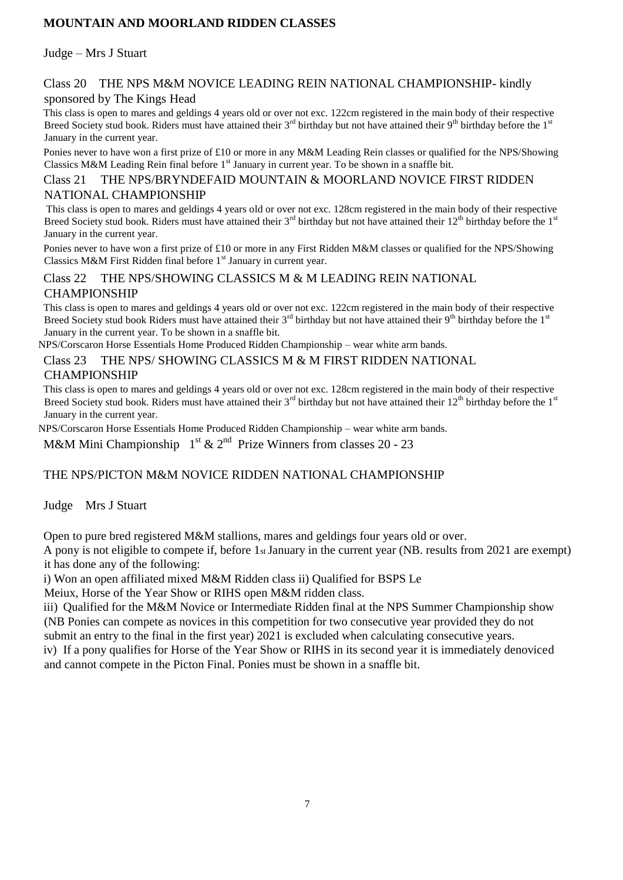# **MOUNTAIN AND MOORLAND RIDDEN CLASSES**

Judge – Mrs J Stuart

#### Class 20 THE NPS M&M NOVICE LEADING REIN NATIONAL CHAMPIONSHIP- kindly sponsored by The Kings Head

This class is open to mares and geldings 4 years old or over not exc. 122cm registered in the main body of their respective Breed Society stud book. Riders must have attained their  $3<sup>rd</sup>$  birthday but not have attained their 9<sup>th</sup> birthday before the 1<sup>st</sup> January in the current year.

Ponies never to have won a first prize of £10 or more in any M&M Leading Rein classes or qualified for the NPS/Showing Classics M&M Leading Rein final before  $1<sup>st</sup>$  January in current year. To be shown in a snaffle bit.

#### Class 21 THE NPS/BRYNDEFAID MOUNTAIN & MOORLAND NOVICE FIRST RIDDEN NATIONAL CHAMPIONSHIP

This class is open to mares and geldings 4 years old or over not exc. 128cm registered in the main body of their respective Breed Society stud book. Riders must have attained their 3<sup>rd</sup> birthday but not have attained their 12<sup>th</sup> birthday before the 1<sup>st</sup> January in the current year.

Ponies never to have won a first prize of £10 or more in any First Ridden M&M classes or qualified for the NPS/Showing Classics M&M First Ridden final before  $1<sup>st</sup>$  January in current year.

# Class 22 THE NPS/SHOWING CLASSICS M & M LEADING REIN NATIONAL CHAMPIONSHIP

This class is open to mares and geldings 4 years old or over not exc. 122cm registered in the main body of their respective Breed Society stud book Riders must have attained their  $3^{rd}$  birthday but not have attained their 9<sup>th</sup> birthday before the 1<sup>st</sup> January in the current year. To be shown in a snaffle bit.

NPS/Corscaron Horse Essentials Home Produced Ridden Championship – wear white arm bands.

#### Class 23 THE NPS/ SHOWING CLASSICS M & M FIRST RIDDEN NATIONAL **CHAMPIONSHIP**

This class is open to mares and geldings 4 years old or over not exc. 128cm registered in the main body of their respective Breed Society stud book. Riders must have attained their  $3^{rd}$  birthday but not have attained their  $12^{th}$  birthday before the 1st January in the current year.

NPS/Corscaron Horse Essentials Home Produced Ridden Championship – wear white arm bands.

M&M Mini Championship  $1<sup>st</sup>$  &  $2<sup>nd</sup>$  Prize Winners from classes 20 - 23

# THE NPS/PICTON M&M NOVICE RIDDEN NATIONAL CHAMPIONSHIP

Judge Mrs J Stuart

Open to pure bred registered M&M stallions, mares and geldings four years old or over.

A pony is not eligible to compete if, before 1st January in the current year (NB. results from 2021 are exempt) it has done any of the following:

i) Won an open affiliated mixed M&M Ridden class ii) Qualified for BSPS Le

Meiux, Horse of the Year Show or RIHS open M&M ridden class.

iii) Qualified for the M&M Novice or Intermediate Ridden final at the NPS Summer Championship show (NB Ponies can compete as novices in this competition for two consecutive year provided they do not submit an entry to the final in the first year) 2021 is excluded when calculating consecutive years.

iv) If a pony qualifies for Horse of the Year Show or RIHS in its second year it is immediately denoviced and cannot compete in the Picton Final. Ponies must be shown in a snaffle bit.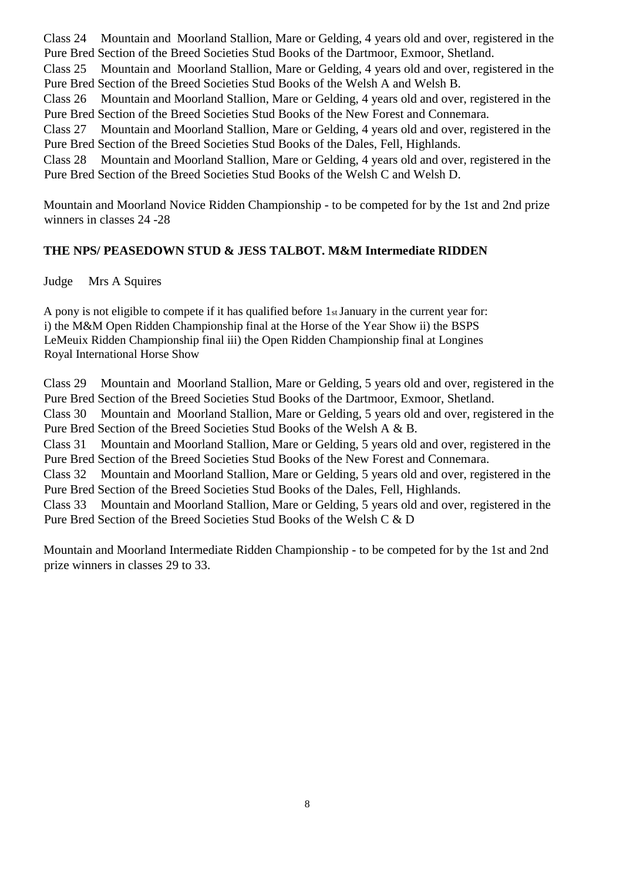Class 24 Mountain and Moorland Stallion, Mare or Gelding, 4 years old and over, registered in the Pure Bred Section of the Breed Societies Stud Books of the Dartmoor, Exmoor, Shetland.

Class 25 Mountain and Moorland Stallion, Mare or Gelding, 4 years old and over, registered in the Pure Bred Section of the Breed Societies Stud Books of the Welsh A and Welsh B.

Class 26 Mountain and Moorland Stallion, Mare or Gelding, 4 years old and over, registered in the Pure Bred Section of the Breed Societies Stud Books of the New Forest and Connemara.

Class 27 Mountain and Moorland Stallion, Mare or Gelding, 4 years old and over, registered in the Pure Bred Section of the Breed Societies Stud Books of the Dales, Fell, Highlands.

Class 28 Mountain and Moorland Stallion, Mare or Gelding, 4 years old and over, registered in the Pure Bred Section of the Breed Societies Stud Books of the Welsh C and Welsh D.

Mountain and Moorland Novice Ridden Championship - to be competed for by the 1st and 2nd prize winners in classes 24 -28

#### **THE NPS/ PEASEDOWN STUD & JESS TALBOT. M&M Intermediate RIDDEN**

Judge Mrs A Squires

A pony is not eligible to compete if it has qualified before 1st January in the current year for: i) the M&M Open Ridden Championship final at the Horse of the Year Show ii) the BSPS LeMeuix Ridden Championship final iii) the Open Ridden Championship final at Longines Royal International Horse Show

Class 29 Mountain and Moorland Stallion, Mare or Gelding, 5 years old and over, registered in the Pure Bred Section of the Breed Societies Stud Books of the Dartmoor, Exmoor, Shetland.

Class 30 Mountain and Moorland Stallion, Mare or Gelding, 5 years old and over, registered in the Pure Bred Section of the Breed Societies Stud Books of the Welsh A & B.

Class 31 Mountain and Moorland Stallion, Mare or Gelding, 5 years old and over, registered in the Pure Bred Section of the Breed Societies Stud Books of the New Forest and Connemara.

Class 32 Mountain and Moorland Stallion, Mare or Gelding, 5 years old and over, registered in the Pure Bred Section of the Breed Societies Stud Books of the Dales, Fell, Highlands.

Class 33 Mountain and Moorland Stallion, Mare or Gelding, 5 years old and over, registered in the Pure Bred Section of the Breed Societies Stud Books of the Welsh C & D

Mountain and Moorland Intermediate Ridden Championship - to be competed for by the 1st and 2nd prize winners in classes 29 to 33.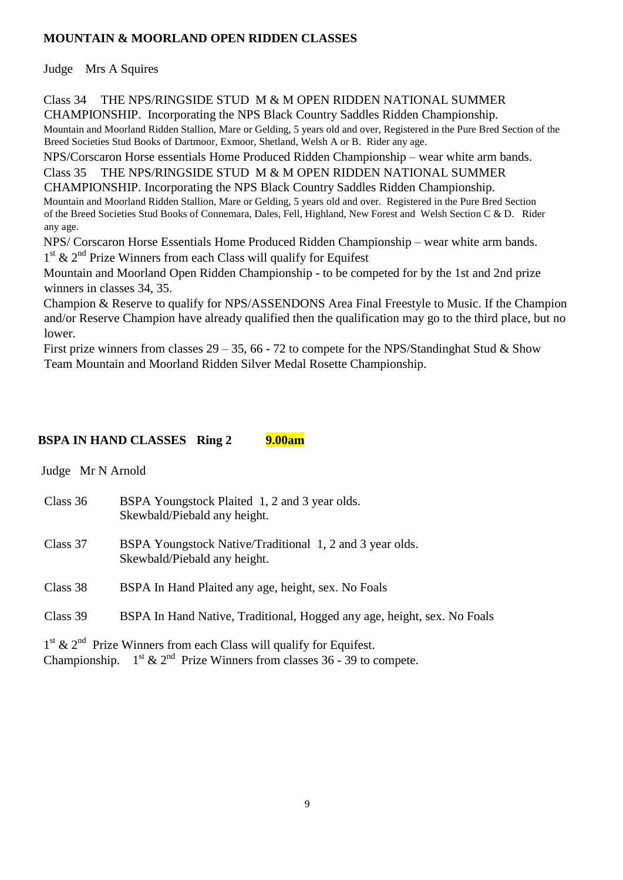# **MOUNTAIN & MOORLAND OPEN RIDDEN CLASSES**

Judge Mrs A Squires

Class 34 THE NPS/RINGSIDE STUD M & M OPEN RIDDEN NATIONAL SUMMER CHAMPIONSHIP. Incorporating the NPS Black Country Saddles Ridden Championship.

Mountain and Moorland Ridden Stallion, Mare or Gelding, 5 years old and over, Registered in the Pure Bred Section of the Breed Societies Stud Books of Dartmoor, Exmoor, Shetland, Welsh A or B. Rider any age.

NPS/Corscaron Horse essentials Home Produced Ridden Championship – wear white arm bands.

Class 35 THE NPS/RINGSIDE STUD M & M OPEN RIDDEN NATIONAL SUMMER CHAMPIONSHIP. Incorporating the NPS Black Country Saddles Ridden Championship. Mountain and Moorland Ridden Stallion, Mare or Gelding, 5 years old and over. Registered in the Pure Bred Section of the Breed Societies Stud Books of Connemara, Dales, Fell, Highland, New Forest and Welsh Section C & D. Rider

any age. NPS/ Corscaron Horse Essentials Home Produced Ridden Championship – wear white arm bands.

1<sup>st</sup> & 2<sup>nd</sup> Prize Winners from each Class will qualify for Equifest

Mountain and Moorland Open Ridden Championship - to be competed for by the 1st and 2nd prize winners in classes 34, 35.

Champion & Reserve to qualify for NPS/ASSENDONS Area Final Freestyle to Music. If the Champion and/or Reserve Champion have already qualified then the qualification may go to the third place, but no lower.

First prize winners from classes  $29 - 35$ , 66 - 72 to compete for the NPS/Standinghat Stud & Show Team Mountain and Moorland Ridden Silver Medal Rosette Championship.

#### **BSPA IN HAND CLASSES Ring 2 9.00am**

 Judge Mr N Arnold Class 36 BSPA Youngstock Plaited 1, 2 and 3 year olds. Skewbald/Piebald any height. Class 37 BSPA Youngstock Native/Traditional 1, 2 and 3 year olds. Skewbald/Piebald any height. Class 38 BSPA In Hand Plaited any age, height, sex. No Foals Class 39 BSPA In Hand Native, Traditional, Hogged any age, height, sex. No Foals 1<sup>st</sup> & 2<sup>nd</sup> Prize Winners from each Class will qualify for Equifest.

Championship.  $1^{st}$  &  $2^{nd}$  Prize Winners from classes 36 - 39 to compete.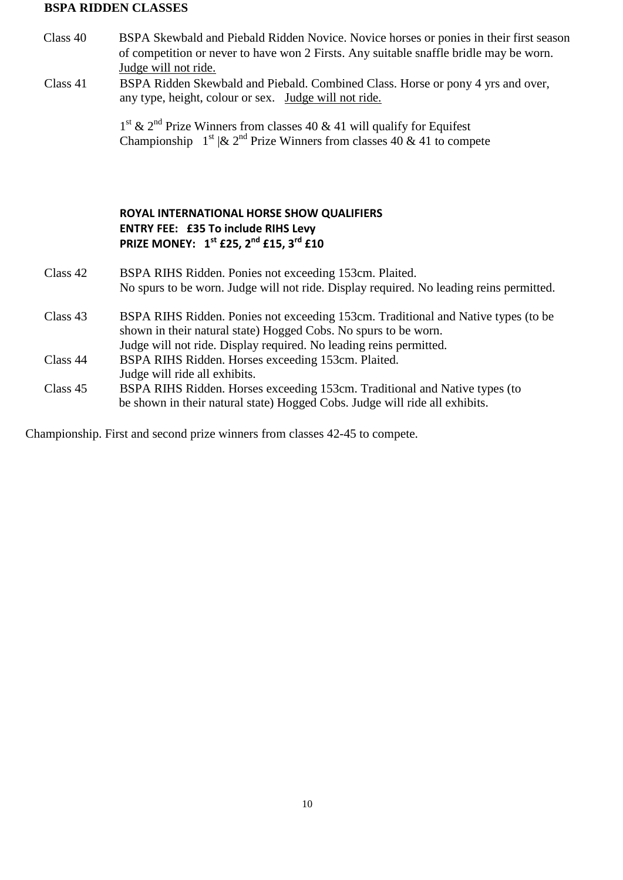#### **BSPA RIDDEN CLASSES**

- Class 40 BSPA Skewbald and Piebald Ridden Novice. Novice horses or ponies in their first season of competition or never to have won 2 Firsts. Any suitable snaffle bridle may be worn. Judge will not ride.
- Class 41 BSPA Ridden Skewbald and Piebald. Combined Class. Horse or pony 4 yrs and over, any type, height, colour or sex. Judge will not ride.

1<sup>st</sup> & 2<sup>nd</sup> Prize Winners from classes 40 & 41 will qualify for Equifest Championship  $1^{st}$   $\&$   $2^{nd}$  Prize Winners from classes 40  $\&$  41 to compete

#### **ROYAL INTERNATIONAL HORSE SHOW QUALIFIERS ENTRY FEE: £35 To include RIHS Levy PRIZE MONEY: 1 st £25, 2nd £15, 3rd £10**

- Class 42 BSPA RIHS Ridden. Ponies not exceeding 153cm. Plaited. No spurs to be worn. Judge will not ride. Display required. No leading reins permitted.
- Class 43 BSPA RIHS Ridden. Ponies not exceeding 153cm. Traditional and Native types (to be shown in their natural state) Hogged Cobs. No spurs to be worn. Judge will not ride. Display required. No leading reins permitted. Class 44 BSPA RIHS Ridden. Horses exceeding 153cm. Plaited.
	- Judge will ride all exhibits.
- Class 45 BSPA RIHS Ridden. Horses exceeding 153cm. Traditional and Native types (to be shown in their natural state) Hogged Cobs. Judge will ride all exhibits.

Championship. First and second prize winners from classes 42-45 to compete.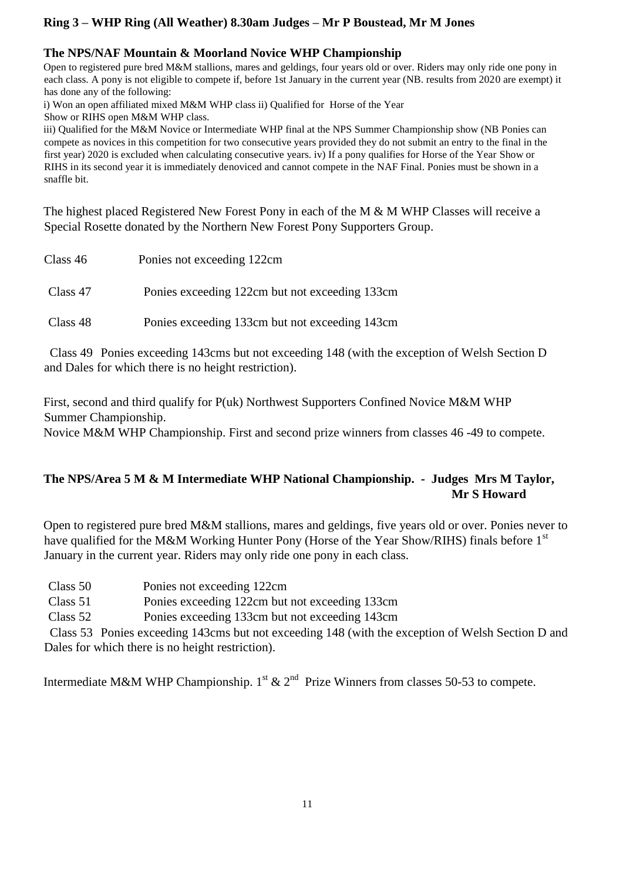# **Ring 3 – WHP Ring (All Weather) 8.30am Judges – Mr P Boustead, Mr M Jones**

#### **The NPS/NAF Mountain & Moorland Novice WHP Championship**

Open to registered pure bred M&M stallions, mares and geldings, four years old or over. Riders may only ride one pony in each class. A pony is not eligible to compete if, before 1st January in the current year (NB. results from 2020 are exempt) it has done any of the following:

i) Won an open affiliated mixed M&M WHP class ii) Qualified for Horse of the Year

Show or RIHS open M&M WHP class.

iii) Qualified for the M&M Novice or Intermediate WHP final at the NPS Summer Championship show (NB Ponies can compete as novices in this competition for two consecutive years provided they do not submit an entry to the final in the first year) 2020 is excluded when calculating consecutive years. iv) If a pony qualifies for Horse of the Year Show or RIHS in its second year it is immediately denoviced and cannot compete in the NAF Final. Ponies must be shown in a snaffle bit.

The highest placed Registered New Forest Pony in each of the M & M WHP Classes will receive a Special Rosette donated by the Northern New Forest Pony Supporters Group.

| Class 46 | Ponies not exceeding 122cm                     |
|----------|------------------------------------------------|
| Class 47 | Ponies exceeding 122cm but not exceeding 133cm |
| Class 48 | Ponies exceeding 133cm but not exceeding 143cm |

 Class 49 Ponies exceeding 143cms but not exceeding 148 (with the exception of Welsh Section D and Dales for which there is no height restriction).

First, second and third qualify for P(uk) Northwest Supporters Confined Novice M&M WHP Summer Championship. Novice M&M WHP Championship. First and second prize winners from classes 46 -49 to compete.

# **The NPS/Area 5 M & M Intermediate WHP National Championship. - Judges Mrs M Taylor, Mr S Howard**

Open to registered pure bred M&M stallions, mares and geldings, five years old or over. Ponies never to have qualified for the M&M Working Hunter Pony (Horse of the Year Show/RIHS) finals before 1<sup>st</sup> January in the current year. Riders may only ride one pony in each class.

| Class 50 | Ponies not exceeding 122cm |  |
|----------|----------------------------|--|
|----------|----------------------------|--|

Class 51 Ponies exceeding 122cm but not exceeding 133cm

Class 52 Ponies exceeding 133cm but not exceeding 143cm

 Class 53 Ponies exceeding 143cms but not exceeding 148 (with the exception of Welsh Section D and Dales for which there is no height restriction).

Intermediate M&M WHP Championship.  $1^{st}$  &  $2^{nd}$  Prize Winners from classes 50-53 to compete.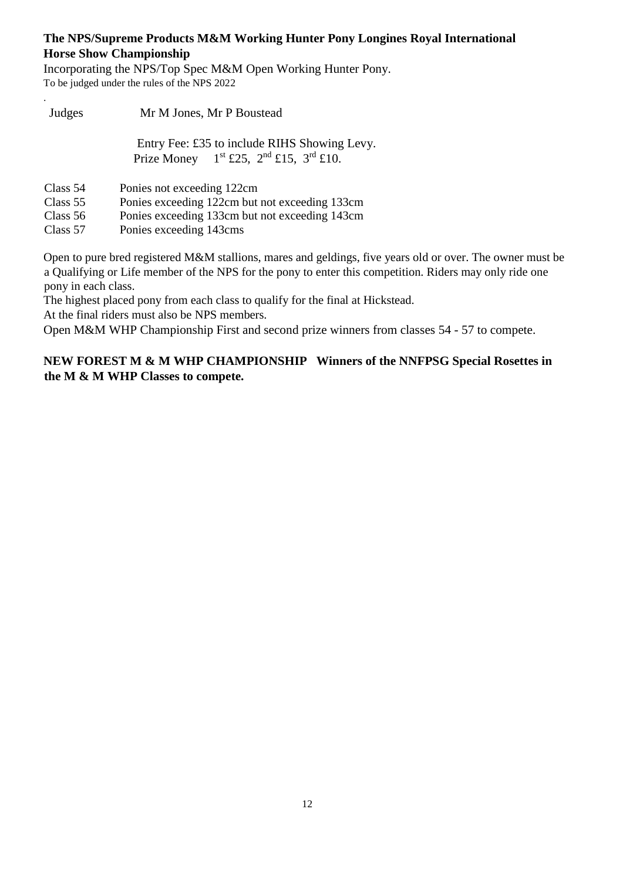#### **The NPS/Supreme Products M&M Working Hunter Pony Longines Royal International Horse Show Championship**

Incorporating the NPS/Top Spec M&M Open Working Hunter Pony. To be judged under the rules of the NPS 2022

| Judges     | Mr M Jones, Mr P Boustead                                                                    |  |  |
|------------|----------------------------------------------------------------------------------------------|--|--|
|            | Entry Fee: £35 to include RIHS Showing Levy.<br>Prize Money $1st$ £25, $2nd$ £15, $3rd$ £10. |  |  |
| Class 54   | Ponies not exceeding 122cm                                                                   |  |  |
| Class $55$ | Ponies exceeding 122cm but not exceeding 133cm                                               |  |  |
| Class 56   | Ponies exceeding 133cm but not exceeding 143cm                                               |  |  |
| Class 57   | Ponies exceeding 143cms                                                                      |  |  |

Open to pure bred registered M&M stallions, mares and geldings, five years old or over. The owner must be a Qualifying or Life member of the NPS for the pony to enter this competition. Riders may only ride one pony in each class.

The highest placed pony from each class to qualify for the final at Hickstead.

At the final riders must also be NPS members.

.

Open M&M WHP Championship First and second prize winners from classes 54 - 57 to compete.

#### **NEW FOREST M & M WHP CHAMPIONSHIP Winners of the NNFPSG Special Rosettes in the M & M WHP Classes to compete.**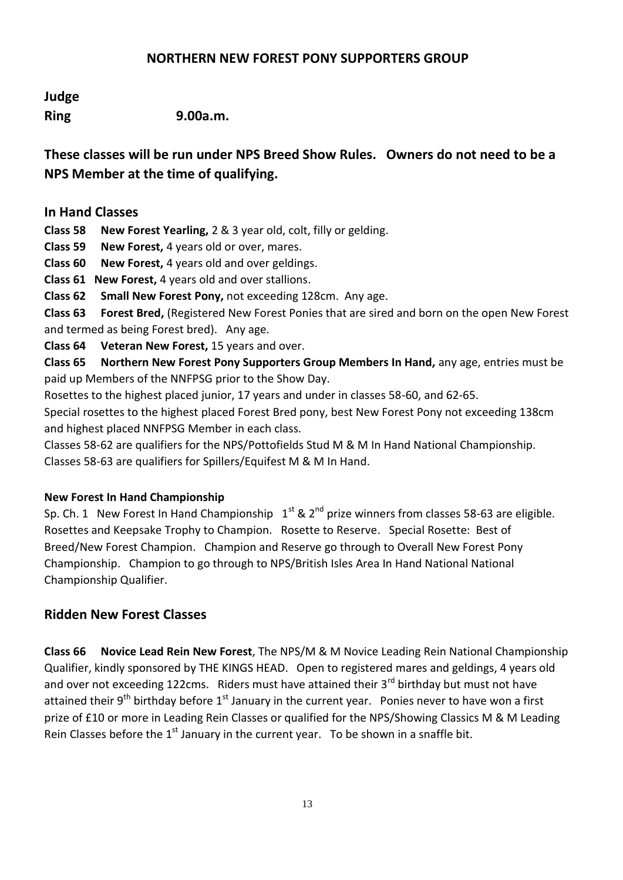#### **NORTHERN NEW FOREST PONY SUPPORTERS GROUP**

# **Judge**

**Ring 9.00a.m.**

**These classes will be run under NPS Breed Show Rules. Owners do not need to be a NPS Member at the time of qualifying.**

#### **In Hand Classes**

**Class 58 New Forest Yearling,** 2 & 3 year old, colt, filly or gelding.

**Class 59 New Forest,** 4 years old or over, mares.

**Class 60 New Forest,** 4 years old and over geldings.

**Class 61 New Forest,** 4 years old and over stallions.

**Class 62 Small New Forest Pony,** not exceeding 128cm. Any age.

**Class 63 Forest Bred,** (Registered New Forest Ponies that are sired and born on the open New Forest and termed as being Forest bred). Any age.

**Class 64 Veteran New Forest,** 15 years and over.

**Class 65 Northern New Forest Pony Supporters Group Members In Hand,** any age, entries must be paid up Members of the NNFPSG prior to the Show Day.

Rosettes to the highest placed junior, 17 years and under in classes 58-60, and 62-65.

Special rosettes to the highest placed Forest Bred pony, best New Forest Pony not exceeding 138cm and highest placed NNFPSG Member in each class.

Classes 58-62 are qualifiers for the NPS/Pottofields Stud M & M In Hand National Championship. Classes 58-63 are qualifiers for Spillers/Equifest M & M In Hand.

#### **New Forest In Hand Championship**

Sp. Ch. 1 New Forest In Hand Championship  $1^{st}$  &  $2^{nd}$  prize winners from classes 58-63 are eligible. Rosettes and Keepsake Trophy to Champion. Rosette to Reserve. Special Rosette: Best of Breed/New Forest Champion. Champion and Reserve go through to Overall New Forest Pony Championship. Champion to go through to NPS/British Isles Area In Hand National National Championship Qualifier.

# **Ridden New Forest Classes**

**Class 66 Novice Lead Rein New Forest**, The NPS/M & M Novice Leading Rein National Championship Qualifier, kindly sponsored by THE KINGS HEAD. Open to registered mares and geldings, 4 years old and over not exceeding 122cms. Riders must have attained their 3<sup>rd</sup> birthday but must not have attained their  $9^{th}$  birthday before  $1^{st}$  January in the current year. Ponies never to have won a first prize of £10 or more in Leading Rein Classes or qualified for the NPS/Showing Classics M & M Leading Rein Classes before the  $1<sup>st</sup>$  January in the current year. To be shown in a snaffle bit.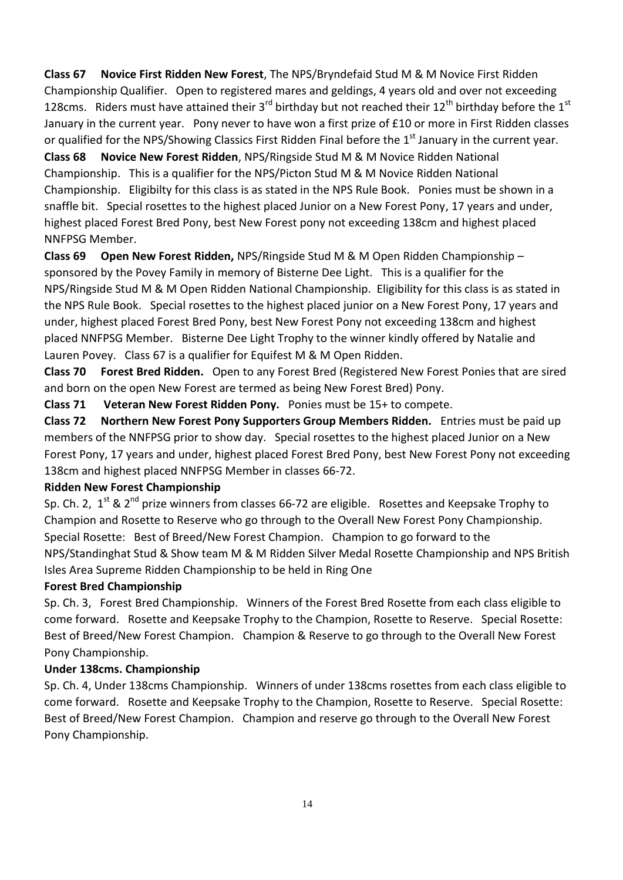**Class 67 Novice First Ridden New Forest**, The NPS/Bryndefaid Stud M & M Novice First Ridden Championship Qualifier. Open to registered mares and geldings, 4 years old and over not exceeding 128cms. Riders must have attained their 3<sup>rd</sup> birthday but not reached their 12<sup>th</sup> birthday before the 1<sup>st</sup> January in the current year. Pony never to have won a first prize of £10 or more in First Ridden classes or qualified for the NPS/Showing Classics First Ridden Final before the 1<sup>st</sup> January in the current year.

**Class 68 Novice New Forest Ridden**, NPS/Ringside Stud M & M Novice Ridden National Championship. This is a qualifier for the NPS/Picton Stud M & M Novice Ridden National Championship. Eligibilty for this class is as stated in the NPS Rule Book. Ponies must be shown in a snaffle bit. Special rosettes to the highest placed Junior on a New Forest Pony, 17 years and under, highest placed Forest Bred Pony, best New Forest pony not exceeding 138cm and highest placed NNFPSG Member.

**Class 69 Open New Forest Ridden,** NPS/Ringside Stud M & M Open Ridden Championship – sponsored by the Povey Family in memory of Bisterne Dee Light. This is a qualifier for the NPS/Ringside Stud M & M Open Ridden National Championship. Eligibility for this class is as stated in the NPS Rule Book. Special rosettes to the highest placed junior on a New Forest Pony, 17 years and under, highest placed Forest Bred Pony, best New Forest Pony not exceeding 138cm and highest placed NNFPSG Member. Bisterne Dee Light Trophy to the winner kindly offered by Natalie and Lauren Povey. Class 67 is a qualifier for Equifest M & M Open Ridden.

**Class 70 Forest Bred Ridden.** Open to any Forest Bred (Registered New Forest Ponies that are sired and born on the open New Forest are termed as being New Forest Bred) Pony.

**Class 71 Veteran New Forest Ridden Pony.** Ponies must be 15+ to compete.

**Class 72 Northern New Forest Pony Supporters Group Members Ridden.** Entries must be paid up members of the NNFPSG prior to show day. Special rosettes to the highest placed Junior on a New Forest Pony, 17 years and under, highest placed Forest Bred Pony, best New Forest Pony not exceeding 138cm and highest placed NNFPSG Member in classes 66-72.

#### **Ridden New Forest Championship**

Sp. Ch. 2,  $1^{st}$  & 2<sup>nd</sup> prize winners from classes 66-72 are eligible. Rosettes and Keepsake Trophy to Champion and Rosette to Reserve who go through to the Overall New Forest Pony Championship. Special Rosette: Best of Breed/New Forest Champion. Champion to go forward to the NPS/Standinghat Stud & Show team M & M Ridden Silver Medal Rosette Championship and NPS British Isles Area Supreme Ridden Championship to be held in Ring One

#### **Forest Bred Championship**

Sp. Ch. 3, Forest Bred Championship. Winners of the Forest Bred Rosette from each class eligible to come forward. Rosette and Keepsake Trophy to the Champion, Rosette to Reserve. Special Rosette: Best of Breed/New Forest Champion. Champion & Reserve to go through to the Overall New Forest Pony Championship.

#### **Under 138cms. Championship**

Sp. Ch. 4, Under 138cms Championship. Winners of under 138cms rosettes from each class eligible to come forward. Rosette and Keepsake Trophy to the Champion, Rosette to Reserve. Special Rosette: Best of Breed/New Forest Champion. Champion and reserve go through to the Overall New Forest Pony Championship.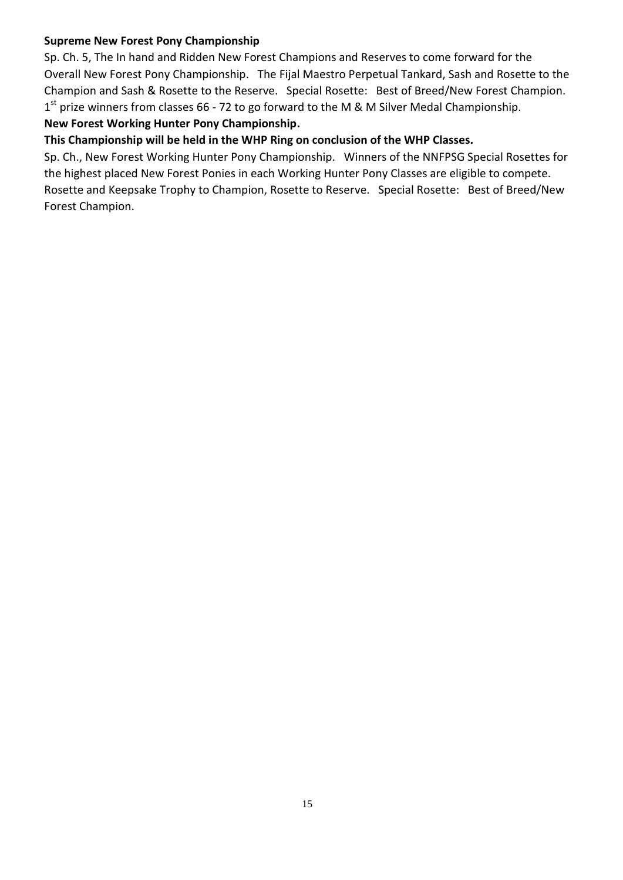#### **Supreme New Forest Pony Championship**

Sp. Ch. 5, The In hand and Ridden New Forest Champions and Reserves to come forward for the Overall New Forest Pony Championship. The Fijal Maestro Perpetual Tankard, Sash and Rosette to the Champion and Sash & Rosette to the Reserve. Special Rosette: Best of Breed/New Forest Champion. 1<sup>st</sup> prize winners from classes 66 - 72 to go forward to the M & M Silver Medal Championship.

#### **New Forest Working Hunter Pony Championship.**

#### **This Championship will be held in the WHP Ring on conclusion of the WHP Classes.**

Sp. Ch., New Forest Working Hunter Pony Championship. Winners of the NNFPSG Special Rosettes for the highest placed New Forest Ponies in each Working Hunter Pony Classes are eligible to compete. Rosette and Keepsake Trophy to Champion, Rosette to Reserve. Special Rosette: Best of Breed/New Forest Champion.